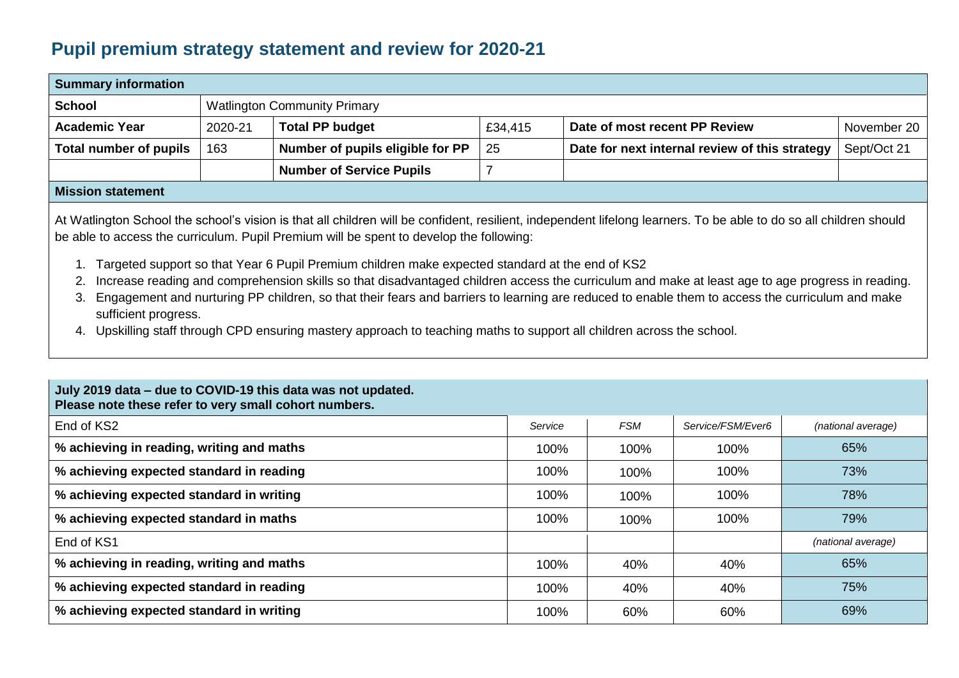## **Pupil premium strategy statement and review for 2020-21**

| <b>Summary information</b> |         |                                     |             |                                                |             |  |  |  |
|----------------------------|---------|-------------------------------------|-------------|------------------------------------------------|-------------|--|--|--|
| <b>School</b>              |         | <b>Watlington Community Primary</b> |             |                                                |             |  |  |  |
| <b>Academic Year</b>       | 2020-21 | <b>Total PP budget</b>              | £34,415     | Date of most recent PP Review                  | November 20 |  |  |  |
| Total number of pupils     | 163     | Number of pupils eligible for PP    | $\sqrt{25}$ | Date for next internal review of this strategy | Sept/Oct 21 |  |  |  |
|                            |         | <b>Number of Service Pupils</b>     |             |                                                |             |  |  |  |
|                            |         |                                     |             |                                                |             |  |  |  |

## **Mission statement**

At Watlington School the school's vision is that all children will be confident, resilient, independent lifelong learners. To be able to do so all children should be able to access the curriculum. Pupil Premium will be spent to develop the following:

- 1. Targeted support so that Year 6 Pupil Premium children make expected standard at the end of KS2
- 2. Increase reading and comprehension skills so that disadvantaged children access the curriculum and make at least age to age progress in reading.
- 3. Engagement and nurturing PP children, so that their fears and barriers to learning are reduced to enable them to access the curriculum and make sufficient progress.
- 4. Upskilling staff through CPD ensuring mastery approach to teaching maths to support all children across the school.

| July 2019 data – due to COVID-19 this data was not updated.<br>Please note these refer to very small cohort numbers. |         |            |                   |                    |
|----------------------------------------------------------------------------------------------------------------------|---------|------------|-------------------|--------------------|
| End of KS2                                                                                                           | Service | <b>FSM</b> | Service/FSM/Ever6 | (national average) |
| % achieving in reading, writing and maths                                                                            | 100%    | 100%       | 100%              | 65%                |
| % achieving expected standard in reading                                                                             | 100%    | 100%       | 100%              | 73%                |
| % achieving expected standard in writing                                                                             | 100%    | 100%       | 100%              | 78%                |
| % achieving expected standard in maths                                                                               | 100%    | 100%       | 100%              | 79%                |
| End of KS1                                                                                                           |         |            |                   | (national average) |
| % achieving in reading, writing and maths                                                                            | 100%    | 40%        | 40%               | 65%                |
| % achieving expected standard in reading                                                                             | 100%    | 40%        | 40%               | 75%                |
| % achieving expected standard in writing                                                                             | 100%    | 60%        | 60%               | 69%                |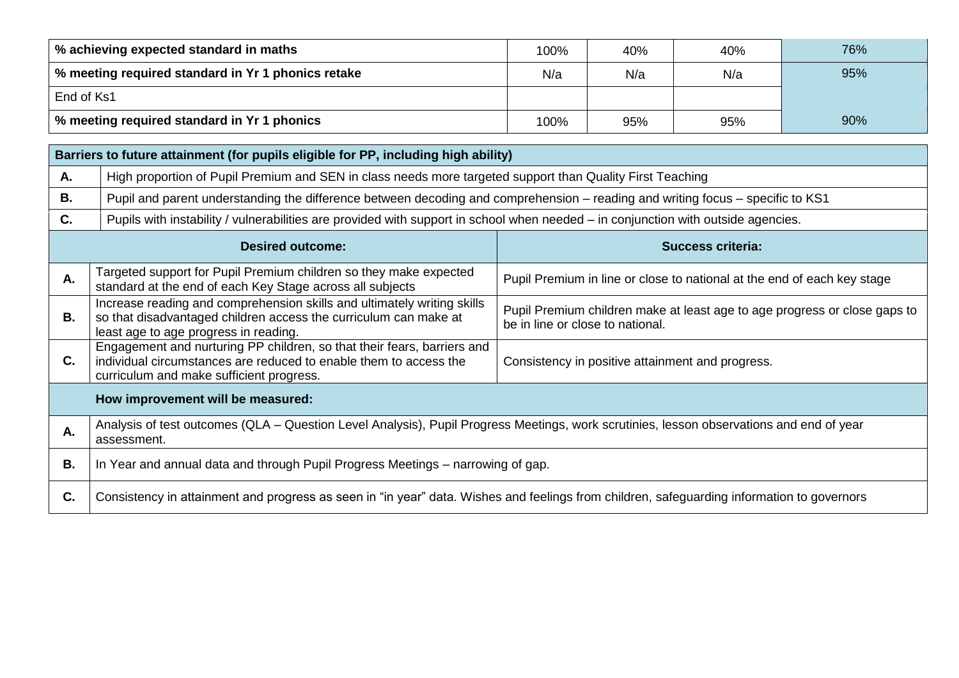| % achieving expected standard in maths             | 100% | 40% | 40% | 76% |
|----------------------------------------------------|------|-----|-----|-----|
| % meeting required standard in Yr 1 phonics retake | N/a  | N/a | N/a | 95% |
| End of Ks1                                         |      |     |     |     |
| % meeting required standard in Yr 1 phonics        | 100% | 95% | 95% | 90% |

|    | Barriers to future attainment (for pupils eligible for PP, including high ability)                                                                                                   |                                                                                                               |  |  |  |  |
|----|--------------------------------------------------------------------------------------------------------------------------------------------------------------------------------------|---------------------------------------------------------------------------------------------------------------|--|--|--|--|
| Α. | High proportion of Pupil Premium and SEN in class needs more targeted support than Quality First Teaching                                                                            |                                                                                                               |  |  |  |  |
| В. | Pupil and parent understanding the difference between decoding and comprehension – reading and writing focus – specific to KS1                                                       |                                                                                                               |  |  |  |  |
| C. | Pupils with instability / vulnerabilities are provided with support in school when needed – in conjunction with outside agencies.                                                    |                                                                                                               |  |  |  |  |
|    | <b>Desired outcome:</b>                                                                                                                                                              | <b>Success criteria:</b>                                                                                      |  |  |  |  |
| Α. | Targeted support for Pupil Premium children so they make expected<br>standard at the end of each Key Stage across all subjects                                                       | Pupil Premium in line or close to national at the end of each key stage                                       |  |  |  |  |
| В. | Increase reading and comprehension skills and ultimately writing skills<br>so that disadvantaged children access the curriculum can make at<br>least age to age progress in reading. | Pupil Premium children make at least age to age progress or close gaps to<br>be in line or close to national. |  |  |  |  |
|    | Engagement and purturing PP children, so that their fears, barriers and                                                                                                              |                                                                                                               |  |  |  |  |

|    | least age to age progress in reading.                                                                                                                                                                                                        | be in line or close to hational. |  |  |  |  |  |
|----|----------------------------------------------------------------------------------------------------------------------------------------------------------------------------------------------------------------------------------------------|----------------------------------|--|--|--|--|--|
| С. | Engagement and nurturing PP children, so that their fears, barriers and<br>individual circumstances are reduced to enable them to access the<br>Consistency in positive attainment and progress.<br>curriculum and make sufficient progress. |                                  |  |  |  |  |  |
|    | How improvement will be measured:                                                                                                                                                                                                            |                                  |  |  |  |  |  |
| А. | Analysis of test outcomes (QLA – Question Level Analysis), Pupil Progress Meetings, work scrutinies, lesson observations and end of year<br>assessment.                                                                                      |                                  |  |  |  |  |  |
| В. | In Year and annual data and through Pupil Progress Meetings – narrowing of gap.                                                                                                                                                              |                                  |  |  |  |  |  |
| C. | Consistency in attainment and progress as seen in "in year" data. Wishes and feelings from children, safeguarding information to governors                                                                                                   |                                  |  |  |  |  |  |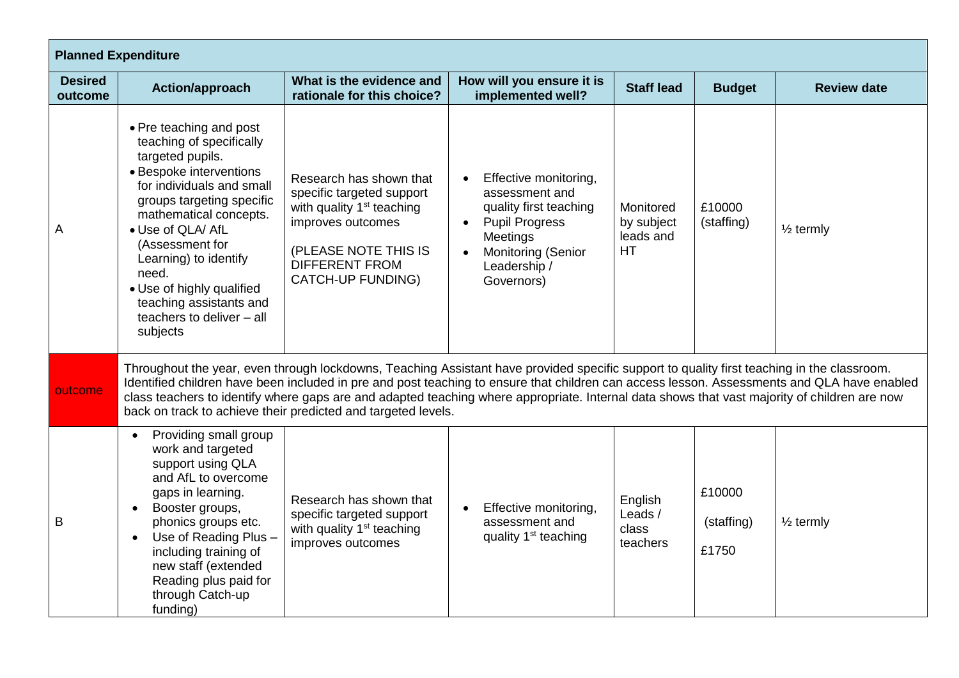| <b>Planned Expenditure</b> |                                                                                                                                                                                                                                                                                                                                                                                                                                                                                                            |                                                                                                                                                                                                 |                                                                                                                                                                                |                                                   |                               |                      |  |
|----------------------------|------------------------------------------------------------------------------------------------------------------------------------------------------------------------------------------------------------------------------------------------------------------------------------------------------------------------------------------------------------------------------------------------------------------------------------------------------------------------------------------------------------|-------------------------------------------------------------------------------------------------------------------------------------------------------------------------------------------------|--------------------------------------------------------------------------------------------------------------------------------------------------------------------------------|---------------------------------------------------|-------------------------------|----------------------|--|
| <b>Desired</b><br>outcome  | Action/approach                                                                                                                                                                                                                                                                                                                                                                                                                                                                                            | What is the evidence and<br>rationale for this choice?                                                                                                                                          | How will you ensure it is<br>implemented well?                                                                                                                                 | <b>Staff lead</b>                                 | <b>Budget</b>                 | <b>Review date</b>   |  |
| A                          | • Pre teaching and post<br>teaching of specifically<br>targeted pupils.<br>• Bespoke interventions<br>for individuals and small<br>groups targeting specific<br>mathematical concepts.<br>• Use of QLA/ AfL<br>(Assessment for<br>Learning) to identify<br>need.<br>• Use of highly qualified<br>teaching assistants and<br>teachers to deliver - all<br>subjects                                                                                                                                          | Research has shown that<br>specific targeted support<br>with quality 1 <sup>st</sup> teaching<br>improves outcomes<br>(PLEASE NOTE THIS IS<br><b>DIFFERENT FROM</b><br><b>CATCH-UP FUNDING)</b> | Effective monitoring,<br>$\bullet$<br>assessment and<br>quality first teaching<br><b>Pupil Progress</b><br>Meetings<br><b>Monitoring (Senior</b><br>Leadership /<br>Governors) | Monitored<br>by subject<br>leads and<br><b>HT</b> | £10000<br>(staffing)          | $\frac{1}{2}$ termly |  |
| outcome                    | Throughout the year, even through lockdowns, Teaching Assistant have provided specific support to quality first teaching in the classroom.<br>Identified children have been included in pre and post teaching to ensure that children can access lesson. Assessments and QLA have enabled<br>class teachers to identify where gaps are and adapted teaching where appropriate. Internal data shows that vast majority of children are now<br>back on track to achieve their predicted and targeted levels. |                                                                                                                                                                                                 |                                                                                                                                                                                |                                                   |                               |                      |  |
| B                          | Providing small group<br>$\bullet$<br>work and targeted<br>support using QLA<br>and AfL to overcome<br>gaps in learning.<br>Booster groups,<br>$\bullet$<br>phonics groups etc.<br>Use of Reading Plus -<br>$\bullet$<br>including training of<br>new staff (extended<br>Reading plus paid for<br>through Catch-up<br>funding)                                                                                                                                                                             | Research has shown that<br>specific targeted support<br>with quality 1 <sup>st</sup> teaching<br>improves outcomes                                                                              | Effective monitoring,<br>assessment and<br>quality 1 <sup>st</sup> teaching                                                                                                    | English<br>Leads /<br>class<br>teachers           | £10000<br>(staffing)<br>£1750 | $\frac{1}{2}$ termly |  |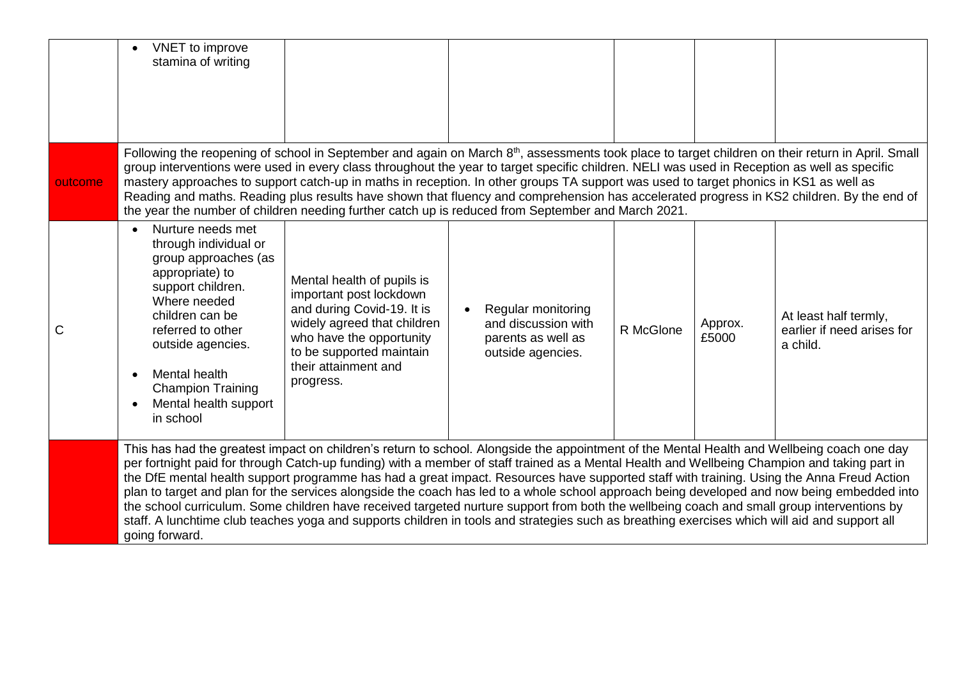|              | VNET to improve<br>stamina of writing                                                                                                                                                                                                                                                                                                                                                                                                                                                                                                                                                                                                                                                                                                                                                                                                                                                                    |                                                                                                                                                                                                                 |                                                                                                                                                                                                                                                                                                                                                                                                                                                                                                                                                                                                                                                                                                           |           |                  |                                                                 |
|--------------|----------------------------------------------------------------------------------------------------------------------------------------------------------------------------------------------------------------------------------------------------------------------------------------------------------------------------------------------------------------------------------------------------------------------------------------------------------------------------------------------------------------------------------------------------------------------------------------------------------------------------------------------------------------------------------------------------------------------------------------------------------------------------------------------------------------------------------------------------------------------------------------------------------|-----------------------------------------------------------------------------------------------------------------------------------------------------------------------------------------------------------------|-----------------------------------------------------------------------------------------------------------------------------------------------------------------------------------------------------------------------------------------------------------------------------------------------------------------------------------------------------------------------------------------------------------------------------------------------------------------------------------------------------------------------------------------------------------------------------------------------------------------------------------------------------------------------------------------------------------|-----------|------------------|-----------------------------------------------------------------|
| outcome      |                                                                                                                                                                                                                                                                                                                                                                                                                                                                                                                                                                                                                                                                                                                                                                                                                                                                                                          |                                                                                                                                                                                                                 | Following the reopening of school in September and again on March 8 <sup>th</sup> , assessments took place to target children on their return in April. Small<br>group interventions were used in every class throughout the year to target specific children. NELI was used in Reception as well as specific<br>mastery approaches to support catch-up in maths in reception. In other groups TA support was used to target phonics in KS1 as well as<br>Reading and maths. Reading plus results have shown that fluency and comprehension has accelerated progress in KS2 children. By the end of<br>the year the number of children needing further catch up is reduced from September and March 2021. |           |                  |                                                                 |
| $\mathsf{C}$ | Nurture needs met<br>through individual or<br>group approaches (as<br>appropriate) to<br>support children.<br>Where needed<br>children can be<br>referred to other<br>outside agencies.<br>Mental health<br><b>Champion Training</b><br>Mental health support<br>in school                                                                                                                                                                                                                                                                                                                                                                                                                                                                                                                                                                                                                               | Mental health of pupils is<br>important post lockdown<br>and during Covid-19. It is<br>widely agreed that children<br>who have the opportunity<br>to be supported maintain<br>their attainment and<br>progress. | Regular monitoring<br>and discussion with<br>parents as well as<br>outside agencies.                                                                                                                                                                                                                                                                                                                                                                                                                                                                                                                                                                                                                      | R McGlone | Approx.<br>£5000 | At least half termly,<br>earlier if need arises for<br>a child. |
|              | This has had the greatest impact on children's return to school. Alongside the appointment of the Mental Health and Wellbeing coach one day<br>per fortnight paid for through Catch-up funding) with a member of staff trained as a Mental Health and Wellbeing Champion and taking part in<br>the DfE mental health support programme has had a great impact. Resources have supported staff with training. Using the Anna Freud Action<br>plan to target and plan for the services alongside the coach has led to a whole school approach being developed and now being embedded into<br>the school curriculum. Some children have received targeted nurture support from both the wellbeing coach and small group interventions by<br>staff. A lunchtime club teaches yoga and supports children in tools and strategies such as breathing exercises which will aid and support all<br>going forward. |                                                                                                                                                                                                                 |                                                                                                                                                                                                                                                                                                                                                                                                                                                                                                                                                                                                                                                                                                           |           |                  |                                                                 |